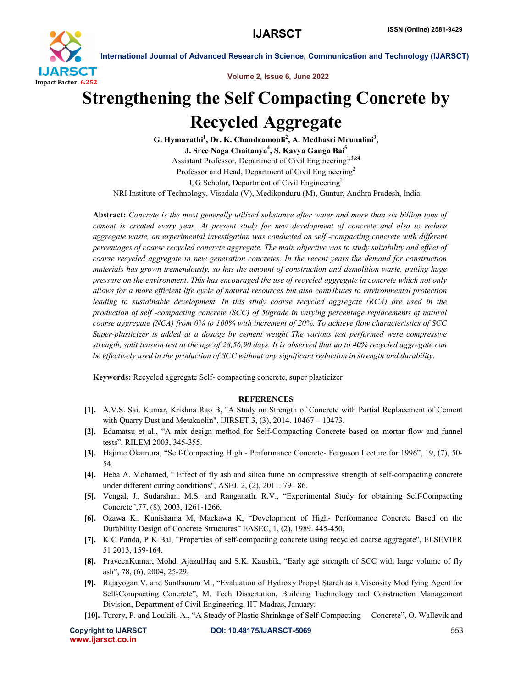

International Journal of Advanced Research in Science, Communication and Technology (IJARSCT)

Volume 2, Issue 6, June 2022

# Strengthening the Self Compacting Concrete by Recycled Aggregate

G. Hymavathi<sup>1</sup>, Dr. K. Chandramouli<sup>2</sup>, A. Medhasri Mrunalini<sup>3</sup>, J. Sree Naga Chaitanya<sup>4</sup>, S. Kavya Ganga Bai<sup>5</sup> Assistant Professor, Department of Civil Engineering<sup>1,3&4</sup> Professor and Head, Department of Civil Engineering<sup>2</sup> UG Scholar, Department of Civil Engineering<sup>5</sup> NRI Institute of Technology, Visadala (V), Medikonduru (M), Guntur, Andhra Pradesh, India

Abstract: *Concrete is the most generally utilized substance after water and more than six billion tons of cement is created every year. At present study for new development of concrete and also to reduce aggregate waste, an experimental investigation was conducted on self -compacting concrete with different percentages of coarse recycled concrete aggregate. The main objective was to study suitability and effect of coarse recycled aggregate in new generation concretes. In the recent years the demand for construction materials has grown tremendously, so has the amount of construction and demolition waste, putting huge pressure on the environment. This has encouraged the use of recycled aggregate in concrete which not only allows for a more efficient life cycle of natural resources but also contributes to environmental protection leading to sustainable development. In this study coarse recycled aggregate (RCA) are used in the production of self -compacting concrete (SCC) of 50grade in varying percentage replacements of natural coarse aggregate (NCA) from 0% to 100% with increment of 20%. To achieve flow characteristics of SCC Super-plasticizer is added at a dosage by cement weight The various test performed were compressive strength, split tension test at the age of 28,56,90 days. It is observed that up to 40% recycled aggregate can be effectively used in the production of SCC without any significant reduction in strength and durability.*

Keywords: Recycled aggregate Self- compacting concrete, super plasticizer

### **REFERENCES**

- [1]. A.V.S. Sai. Kumar, Krishna Rao B, "A Study on Strength of Concrete with Partial Replacement of Cement with Quarry Dust and Metakaolin", IJIRSET 3, (3), 2014. 10467 – 10473.
- [2]. Edamatsu et al., "A mix design method for Self-Compacting Concrete based on mortar flow and funnel tests", RILEM 2003, 345-355.
- [3]. Hajime Okamura, "Self-Compacting High Performance Concrete- Ferguson Lecture for 1996", 19, (7), 50- 54.
- [4]. Heba A. Mohamed, " Effect of fly ash and silica fume on compressive strength of self-compacting concrete under different curing conditions", ASEJ. 2, (2), 2011. 79– 86.
- [5]. Vengal, J., Sudarshan. M.S. and Ranganath. R.V., "Experimental Study for obtaining Self-Compacting Concrete",77, (8), 2003, 1261-1266.
- [6]. Ozawa K., Kunishama M, Maekawa K, "Development of High- Performance Concrete Based on the Durability Design of Concrete Structures" EASEC, 1, (2), 1989. 445-450,
- [7]. K C Panda, P K Bal, "Properties of self-compacting concrete using recycled coarse aggregate", ELSEVIER 51 2013, 159-164.
- [8]. PraveenKumar, Mohd. AjazulHaq and S.K. Kaushik, "Early age strength of SCC with large volume of fly ash", 78, (6), 2004, 25-29.
- [9]. Rajayogan V. and Santhanam M., "Evaluation of Hydroxy Propyl Starch as a Viscosity Modifying Agent for Self-Compacting Concrete", M. Tech Dissertation, Building Technology and Construction Management Division, Department of Civil Engineering, IIT Madras, January.
- [10]. Turcry, P. and Loukili, A., "A Steady of Plastic Shrinkage of Self-Compacting Concrete", O. Wallevik and

www.ijarsct.co.in